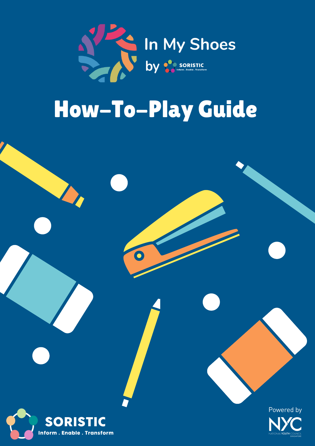

# How-To-Play Guide

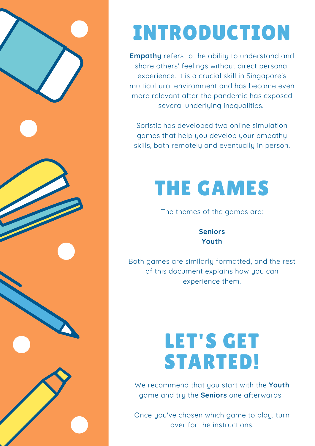

# INTRODUCTION

**Empathy** refers to the ability to understand and share others' feelings without direct personal experience. It is a crucial skill in Singapore's multicultural environment and has become even more relevant after the pandemic has exposed several underlying inequalities.

Soristic has developed two online simulation games that help you develop your empathy skills, both remotely and eventually in person.

# THE GAMES

The themes of the games are:

**Seniors Youth**

Both games are similarly formatted, and the rest of this document explains how you can experience them.

# LET'S GET STARTED!

We recommend that you start with the **Youth** game and try the **Seniors** one afterwards.

Once you've chosen which game to play, turn over for the instructions.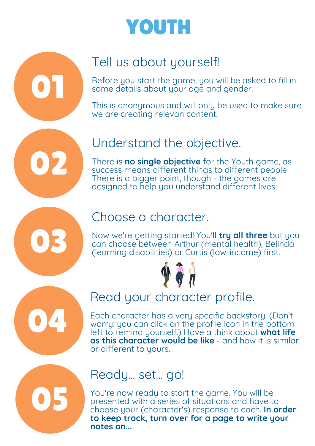

## Tell us about yourself!

01

02

03

04

05

Before you start the game, you will be asked to fill in some details about your age and gender.

This is anonymous and will only be used to make sure we are creating relevan content.

## Understand the objective.

There is **no single objective** for the Youth game, as success means different things to different people There is a bigger point, though - the games are designed to help you understand different lives.

### Choose a character.

Now we're getting started! You'll **try all three** but you can choose between Arthur (mental health), Belinda (learning disabilities) or Curtis (low-income) first.



## Read your character profile.

Each character has a very specific backstory. (Don't worry: you can click on the profile icon in the bottom left to remind yourself.) Have a think about **what life as this character would be like** - and how it is similar or different to yours.

## Ready... set... go!

You're now ready to start the game. You will be presented with a series of situations and have to choose your (character's) response to each. **In order to keep track, turn over for a page to write your notes on...**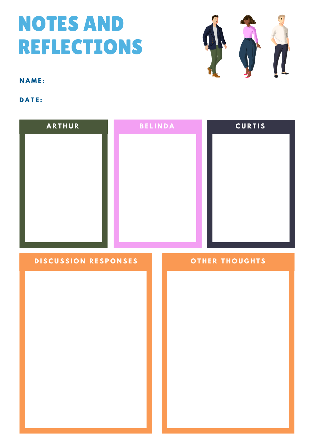# NOTES AND REFLECTIONS



**N A M E :**

#### **D A T E :**

| <b>ARTHUR</b>               | <b>BELINDA</b> | <b>CURTIS</b>         |
|-----------------------------|----------------|-----------------------|
| <b>DISCUSSION RESPONSES</b> |                | <b>OTHER THOUGHTS</b> |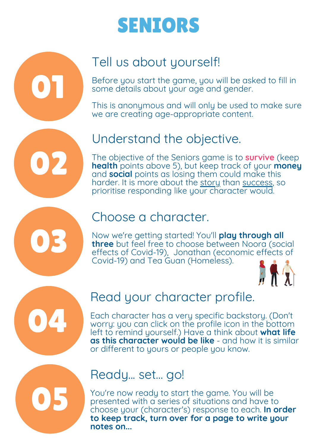# SENIORS

# Tell us about yourself!

Before you start the game, you will be asked to fill in some details about your age and gender.

This is anonymous and will only be used to make sure we are creating age-appropriate content.

# Understand the objective.

The objective of the Seniors game is to **survive** (keep **health** points above 5), but keep track of your **money** and **social** points as losing them could make this harder. It is more about the story than success, so prioritise responding like your character would.

# 03

04

05

01

02

## Choose a character.

Now we're getting started! You'll **play through all three** but feel free to choose between Noora (social effects of Covid-19), Jonathan (economic effects of Covid-19) and Tea Guan (Homeless).



## Read your character profile.

Each character has a very specific backstory. (Don't worry: you can click on the profile icon in the bottom left to remind yourself.) Have a think about **what life as this character would be like** - and how it is similar or different to yours or people you know.

## Ready... set... go!

You're now ready to start the game. You will be presented with a series of situations and have to choose your (character's) response to each. **In order to keep track, turn over for a page to write your notes on...**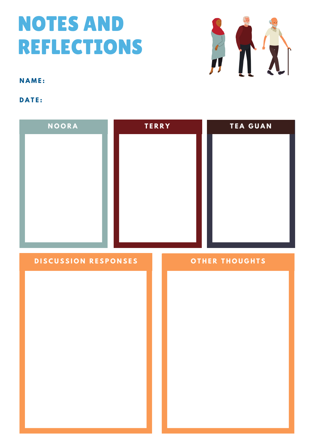# NOTES AND REFLECTIONS



**N A M E :**

**D A T E :**

| NOORA                | <b>TERRY</b> | <b>TEA GUAN</b>       |
|----------------------|--------------|-----------------------|
| DISCUSSION RESPONSES |              | <b>OTHER THOUGHTS</b> |